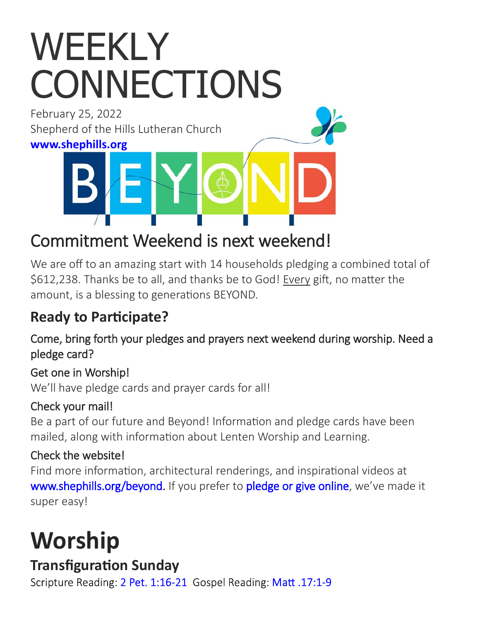# WEEKLY **CONNECTIONS**

February 25, 2022 Shepherd of the Hills Lutheran Church

**[www.shephills.org](http://www.shephills.org)**

# Commitment Weekend is next weekend!

We are off to an amazing start with 14 households pledging a combined total of \$612,238. Thanks be to all, and thanks be to God! Every gift, no matter the amount, is a blessing to generations BEYOND.

# **Ready to Participate?**

Come, bring forth your pledges and prayers next weekend during worship. Need a pledge card?

#### Get one in Worship!

We'll have pledge cards and prayer cards for all!

#### Check your mail!

Be a part of our future and Beyond! Information and pledge cards have been mailed, along with information about Lenten Worship and Learning.

### Check the website!

Find more information, architectural renderings, and inspirational videos at [www.shephills.org/beyond.](The%20Beyond%20Capital%20Fund%20Appeal%20is%20an%20investment%20in%20our%20future,) If you prefer to [pledge or give online,](https://shephills.org/beyond-pledge/) we've made it super easy!

# **Worship**

# **Transfiguration Sunday**

Scripture Reading: 2 Pet. 1:16-21 Gospel Reading: Matt. 17:1-9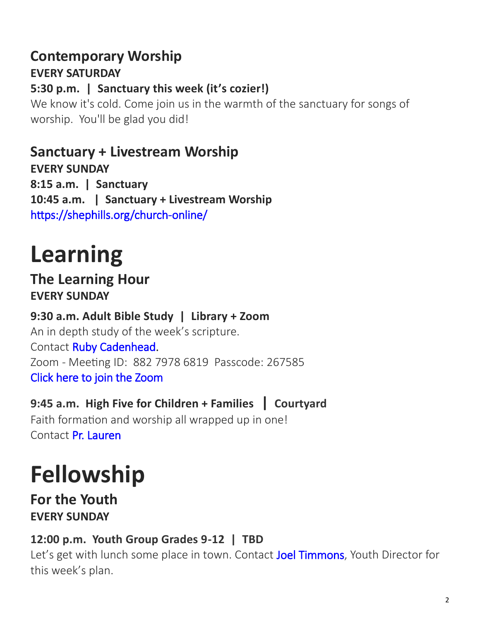# **Contemporary Worship**

**EVERY SATURDAY**

#### **5:30 p.m. | Sanctuary this week (it's cozier!)**

We know it's cold. Come join us in the warmth of the sanctuary for songs of worship. You'll be glad you did!

### **Sanctuary + Livestream Worship**

**EVERY SUNDAY 8:15 a.m. | Sanctuary 10:45 a.m. | Sanctuary + Livestream Worship**  [https://shephills.org/church](https://shephills.org/church-online/)-online/

# **Learning**

#### **The Learning Hour EVERY SUNDAY**

#### **9:30 a.m. Adult Bible Study | Library + Zoom** An in depth study of the week's scripture.

Contact [Ruby Cadenhead.](mailto:rubies61@gmail.com) Zoom - Meeting ID: 882 7978 6819 Passcode: 267585 [Click here to join the Zoom](https://us02web.zoom.us/j/88279786819?pwd=Uytzc1NsT0xCWlM5dnVCMlBFZ1djUT09) 

#### **9:45 a.m. High Five for Children + Families | Courtyard**

Faith formation and worship all wrapped up in one! Contact [Pr. Lauren](mailto:lauren@shephills.org)

# **Fellowship**

#### **For the Youth EVERY SUNDAY**

#### **12:00 p.m. Youth Group Grades 9-12 | TBD**

Let's get with lunch some place in town. Contact [Joel Timmons,](mailto:joel@shephills.org) Youth Director for this week's plan.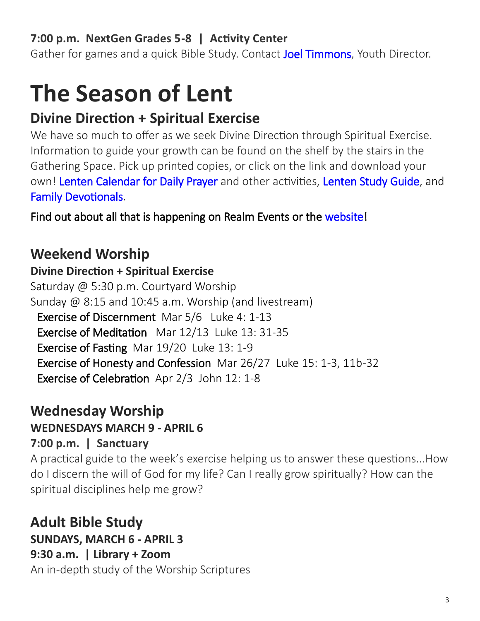#### **7:00 p.m. NextGen Grades 5-8 | Activity Center**

Gather for games and a quick Bible Study. Contact [Joel Timmons,](mailto:joel@shephills.org) Youth Director.

# **The Season of Lent**

### **Divine Direction + Spiritual Exercise**

We have so much to offer as we seek Divine Direction through Spiritual Exercise. Information to guide your growth can be found on the shelf by the stairs in the Gathering Space. Pick up printed copies, or click on the link and download your own! [Lenten Calendar for Daily Prayer](https://elca.org/40Days) and other activities, [Lenten Study Guide,](https://elca.org/40Days) and [Family Devotionals.](https://www.creativecommunications.com/Products/WH2/with-your-whole-heart.aspx?bCategory=CPLNT!CPDEV) 

Find out about all that is happening on Realm Events or the [website!](http://www.shephills.org)

# **Weekend Worship**

#### **Divine Direction + Spiritual Exercise**

Saturday @ 5:30 p.m. Courtyard Worship Sunday @ 8:15 and 10:45 a.m. Worship (and livestream) Exercise of Discernment Mar 5/6 Luke 4: 1-13 Exercise of Meditation Mar 12/13 Luke 13: 31-35 Exercise of Fasting Mar 19/20 Luke 13: 1-9 Exercise of Honesty and Confession Mar 26/27 Luke 15: 1-3, 11b-32 Exercise of Celebration Apr 2/3 John 12: 1-8

#### **Wednesday Worship**

#### **WEDNESDAYS MARCH 9 - APRIL 6**

#### **7:00 p.m. | Sanctuary**

A practical guide to the week's exercise helping us to answer these questions...How do I discern the will of God for my life? Can I really grow spiritually? How can the spiritual disciplines help me grow?

# **Adult Bible Study**

#### **SUNDAYS, MARCH 6 - APRIL 3**

#### **9:30 a.m. | Library + Zoom**

An in-depth study of the Worship Scriptures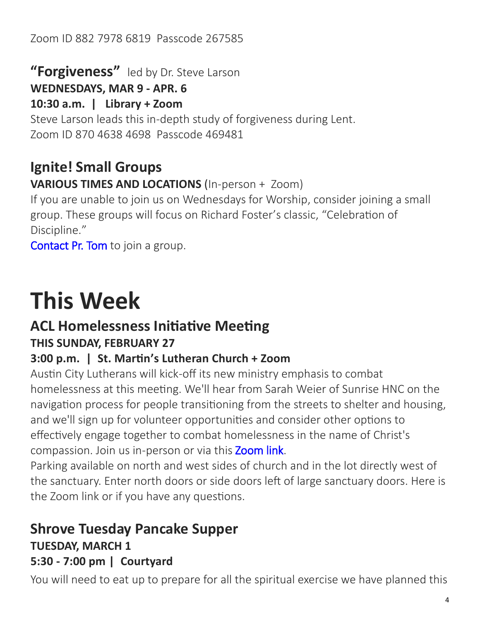#### Zoom ID 882 7978 6819 Passcode 267585

**"Forgiveness"** led by Dr. Steve Larson

**WEDNESDAYS, MAR 9 - APR. 6**

**10:30 a.m. | Library + Zoom**

Steve Larson leads this in-depth study of forgiveness during Lent. Zoom ID 870 4638 4698 Passcode 469481

# **Ignite! Small Groups**

**VARIOUS TIMES AND LOCATIONS** (In-person + Zoom)

If you are unable to join us on Wednesdays for Worship, consider joining a small group. These groups will focus on Richard Foster's classic, "Celebration of Discipline."

[Contact Pr. Tom t](mailto:tom@shephills.org)o join a group.

# **This Week**

#### **ACL Homelessness Initiative Meeting THIS SUNDAY, FEBRUARY 27**

#### **3:00 p.m. | St. Martin's Lutheran Church + Zoom**

Austin City Lutherans will kick-off its new ministry emphasis to combat homelessness at this meeting. We'll hear from Sarah Weier of Sunrise HNC on the navigation process for people transitioning from the streets to shelter and housing, and we'll sign up for volunteer opportunities and consider other options to effectively engage together to combat homelessness in the name of Christ's compassion. Join us in-person or via this **Zoom link**.

Parking available on north and west sides of church and in the lot directly west of the sanctuary. Enter north doors or side doors left of large sanctuary doors. Here is the Zoom link or if you have any questions.

### **Shrove Tuesday Pancake Supper TUESDAY, MARCH 1**

#### **5:30 - 7:00 pm | Courtyard**

You will need to eat up to prepare for all the spiritual exercise we have planned this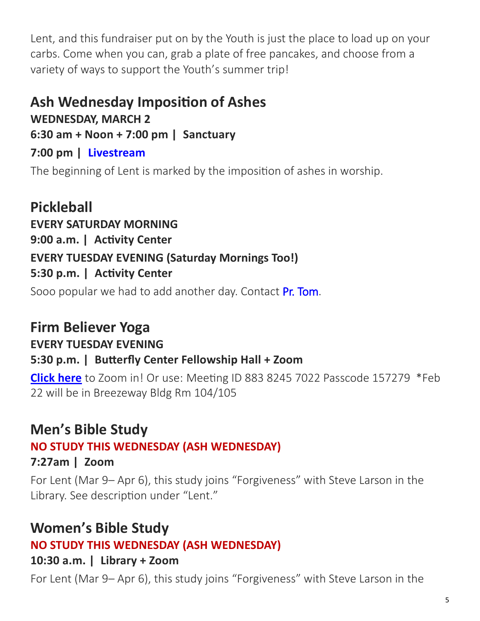Lent, and this fundraiser put on by the Youth is just the place to load up on your carbs. Come when you can, grab a plate of free pancakes, and choose from a variety of ways to support the Youth's summer trip!

#### **Ash Wednesday Imposition of Ashes**

**WEDNESDAY, MARCH 2**

**6:30 am + Noon + 7:00 pm | Sanctuary**

#### **7:00 pm | [Livestream](http://www.shephills.org/watch)**

The beginning of Lent is marked by the imposition of ashes in worship.

**Pickleball EVERY SATURDAY MORNING 9:00 a.m. | Activity Center EVERY TUESDAY EVENING (Saturday Mornings Too!) 5:30 p.m. | Activity Center**

Sooo popular we had to add another day. Contact [Pr. Tom.](mailto:tom@shephills.org)

# **Firm Believer Yoga**

#### **EVERY TUESDAY EVENING**

#### **5:30 p.m. | Butterfly Center Fellowship Hall + Zoom**

**[Click here](https://us02web.zoom.us/j/88382457022?pwd=NEtNVjlCcWkxQVV3OUR4eVlsNzkxdz09)** to Zoom in! Or use: Meeting ID 883 8245 7022 Passcode 157279 \*Feb 22 will be in Breezeway Bldg Rm 104/105

### **Men's Bible Study**

#### **NO STUDY THIS WEDNESDAY (ASH WEDNESDAY)**

#### **7:27am | Zoom**

For Lent (Mar 9– Apr 6), this study joins "Forgiveness" with Steve Larson in the Library. See description under "Lent."

### **Women's Bible Study**

#### **NO STUDY THIS WEDNESDAY (ASH WEDNESDAY)**

#### **10:30 a.m. | Library + Zoom**

For Lent (Mar 9– Apr 6), this study joins "Forgiveness" with Steve Larson in the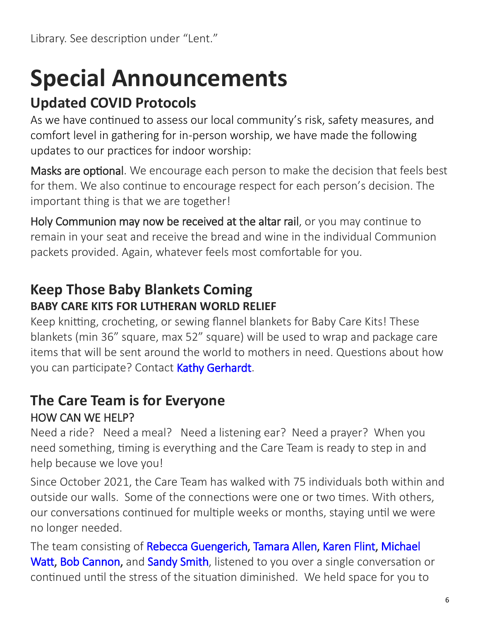# **Special Announcements**

# **Updated COVID Protocols**

As we have continued to assess our local community's risk, safety measures, and comfort level in gathering for in-person worship, we have made the following updates to our practices for indoor worship:

Masks are optional. We encourage each person to make the decision that feels best for them. We also continue to encourage respect for each person's decision. The important thing is that we are together!

Holy Communion may now be received at the altar rail, or you may continue to remain in your seat and receive the bread and wine in the individual Communion packets provided. Again, whatever feels most comfortable for you.

#### **Keep Those Baby Blankets Coming BABY CARE KITS FOR LUTHERAN WORLD RELIEF**

Keep knitting, crocheting, or sewing flannel blankets for Baby Care Kits! These blankets (min 36" square, max 52" square) will be used to wrap and package care items that will be sent around the world to mothers in need. Questions about how you can participate? Contact [Kathy Gerhardt.](mailto:kathnmark@gmail.com?subject=baby%20blankets)

#### **The Care Team is for Everyone** HOW CAN WE HELP?

Need a ride? Need a meal? Need a listening ear? Need a prayer? When you need something, timing is everything and the Care Team is ready to step in and help because we love you!

Since October 2021, the Care Team has walked with 75 individuals both within and outside our walls. Some of the connections were one or two times. With others, our conversations continued for multiple weeks or months, staying until we were no longer needed.

The team consisting of [Rebecca Guengerich,](mailto:rguengerich@gmail.com?subject=care%20team) [Tamara Allen,](mailto:tamara.allen@me.com?subject=care%20team) [Karen Flint,](mailto:karenflint@me.com?subject=care%20team) Michael [Watt,](mailto:michaelwatt04@gmail.com?subject=care%20team) [Bob Cannon,](mailto:bctrpt123@aol.com?subject=care%20team) and [Sandy Smith,](mailto:texas.sandysmith@gmail.com?subject=care%20team) listened to you over a single conversation or continued until the stress of the situation diminished. We held space for you to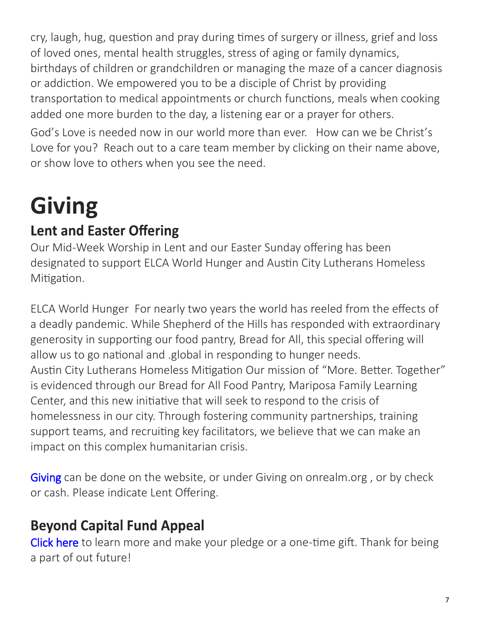cry, laugh, hug, question and pray during times of surgery or illness, grief and loss of loved ones, mental health struggles, stress of aging or family dynamics, birthdays of children or grandchildren or managing the maze of a cancer diagnosis or addiction. We empowered you to be a disciple of Christ by providing transportation to medical appointments or church functions, meals when cooking added one more burden to the day, a listening ear or a prayer for others.

God's Love is needed now in our world more than ever. How can we be Christ's Love for you? Reach out to a care team member by clicking on their name above, or show love to others when you see the need.

# **Giving**

# **Lent and Easter Offering**

Our Mid-Week Worship in Lent and our Easter Sunday offering has been designated to support ELCA World Hunger and Austin City Lutherans Homeless Mitigation.

ELCA World Hunger For nearly two years the world has reeled from the effects of a deadly pandemic. While Shepherd of the Hills has responded with extraordinary generosity in supporting our food pantry, Bread for All, this special offering will allow us to go national and .global in responding to hunger needs. Austin City Lutherans Homeless Mitigation Our mission of "More. Better. Together" is evidenced through our Bread for All Food Pantry, Mariposa Family Learning Center, and this new initiative that will seek to respond to the crisis of homelessness in our city. Through fostering community partnerships, training support teams, and recruiting key facilitators, we believe that we can make an impact on this complex humanitarian crisis.

[Giving c](http://www.shephills.org/give/)an be done on the website, or under Giving on onrealm.org, or by check or cash. Please indicate Lent Offering.

# **Beyond Capital Fund Appeal**

[Click here](https://shephills.org/beyond/) to learn more and make your pledge or a one-time gift. Thank for being a part of out future!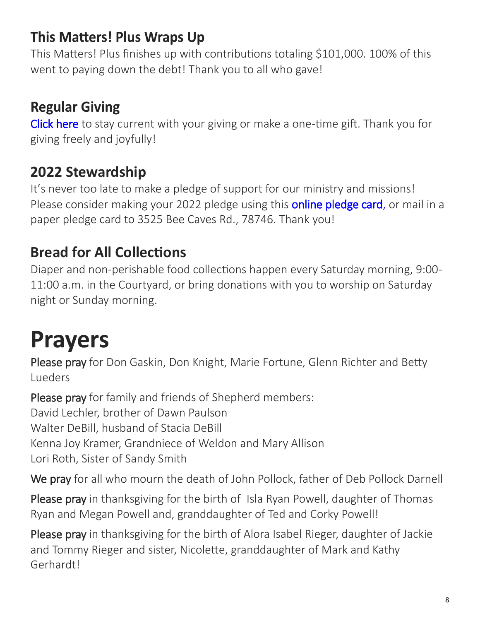## **This Matters! Plus Wraps Up**

This Matters! Plus finishes up with contributions totaling \$101,000. 100% of this went to paying down the debt! Thank you to all who gave!

# **Regular Giving**

[Click here](https://shephills.org/give/) to stay current with your giving or make a one-time gift. Thank you for giving freely and joyfully!

### **2022 Stewardship**

It's never too late to make a pledge of support for our ministry and missions! Please consider making your 2022 pledge using this **online pledge card**, or mail in a paper pledge card to 3525 Bee Caves Rd., 78746. Thank you!

### **Bread for All Collections**

Diaper and non-perishable food collections happen every Saturday morning, 9:00- 11:00 a.m. in the Courtyard, or bring donations with you to worship on Saturday night or Sunday morning.

# **Prayers**

Please pray for Don Gaskin, Don Knight, Marie Fortune, Glenn Richter and Betty Lueders

Please pray for family and friends of Shepherd members: David Lechler, brother of Dawn Paulson Walter DeBill, husband of Stacia DeBill Kenna Joy Kramer, Grandniece of Weldon and Mary Allison Lori Roth, Sister of Sandy Smith

We pray for all who mourn the death of John Pollock, father of Deb Pollock Darnell

Please pray in thanksgiving for the birth of Isla Ryan Powell, daughter of Thomas Ryan and Megan Powell and, granddaughter of Ted and Corky Powell!

Please pray in thanksgiving for the birth of Alora Isabel Rieger, daughter of Jackie and Tommy Rieger and sister, Nicolette, granddaughter of Mark and Kathy Gerhardt!